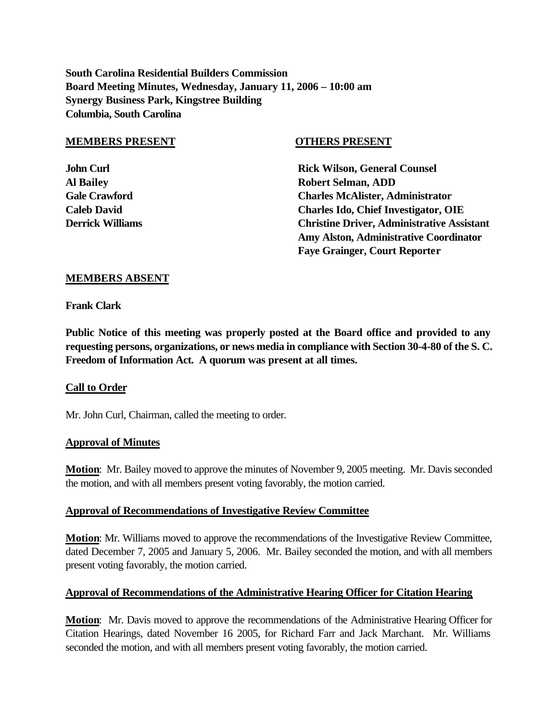**South Carolina Residential Builders Commission Board Meeting Minutes, Wednesday, January 11, 2006 – 10:00 am Synergy Business Park, Kingstree Building Columbia, South Carolina**

#### **MEMBERS PRESENT OTHERS PRESENT**

**John Curl Counsel Counsel Counsel Rick Wilson, General Counsel Al Bailey Robert Selman, ADD Gale Crawford Charles McAlister, Administrator Caleb David Charles Ido, Chief Investigator, OIE Derrick Williams Christine Driver, Administrative Assistant Amy Alston, Administrative Coordinator Faye Grainger, Court Reporter**

## **MEMBERS ABSENT**

**Frank Clark**

**Public Notice of this meeting was properly posted at the Board office and provided to any requesting persons, organizations, or news media in compliance with Section 30-4-80 of the S. C. Freedom of Information Act. A quorum was present at all times.**

## **Call to Order**

Mr. John Curl, Chairman, called the meeting to order.

## **Approval of Minutes**

**Motion**: Mr. Bailey moved to approve the minutes of November 9, 2005 meeting. Mr. Davis seconded the motion, and with all members present voting favorably, the motion carried.

## **Approval of Recommendations of Investigative Review Committee**

**Motion**: Mr. Williams moved to approve the recommendations of the Investigative Review Committee, dated December 7, 2005 and January 5, 2006. Mr. Bailey seconded the motion, and with all members present voting favorably, the motion carried.

## **Approval of Recommendations of the Administrative Hearing Officer for Citation Hearing**

**Motion**: Mr. Davis moved to approve the recommendations of the Administrative Hearing Officer for Citation Hearings, dated November 16 2005, for Richard Farr and Jack Marchant. Mr. Williams seconded the motion, and with all members present voting favorably, the motion carried.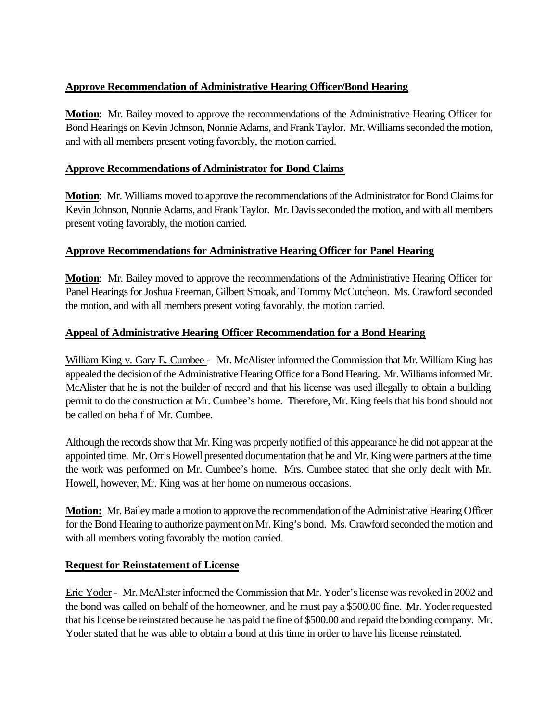# **Approve Recommendation of Administrative Hearing Officer/Bond Hearing**

**Motion**: Mr. Bailey moved to approve the recommendations of the Administrative Hearing Officer for Bond Hearings on Kevin Johnson, Nonnie Adams, and Frank Taylor. Mr. Williams seconded the motion, and with all members present voting favorably, the motion carried.

# **Approve Recommendations of Administrator for Bond Claims**

**Motion**: Mr. Williams moved to approve the recommendations of the Administrator for Bond Claims for Kevin Johnson, Nonnie Adams, and Frank Taylor. Mr. Davis seconded the motion, and with all members present voting favorably, the motion carried.

# **Approve Recommendations for Administrative Hearing Officer for Panel Hearing**

**Motion**: Mr. Bailey moved to approve the recommendations of the Administrative Hearing Officer for Panel Hearings for Joshua Freeman, Gilbert Smoak, and Tommy McCutcheon. Ms. Crawford seconded the motion, and with all members present voting favorably, the motion carried.

## **Appeal of Administrative Hearing Officer Recommendation for a Bond Hearing**

William King v. Gary E. Cumbee - Mr. McAlister informed the Commission that Mr. William King has appealed the decision of the Administrative Hearing Office for a Bond Hearing. Mr. Williams informed Mr. McAlister that he is not the builder of record and that his license was used illegally to obtain a building permit to do the construction at Mr. Cumbee's home. Therefore, Mr. King feels that his bond should not be called on behalf of Mr. Cumbee.

Although the records show that Mr. King was properly notified of this appearance he did not appear at the appointed time. Mr. Orris Howell presented documentation that he and Mr. King were partners at the time the work was performed on Mr. Cumbee's home. Mrs. Cumbee stated that she only dealt with Mr. Howell, however, Mr. King was at her home on numerous occasions.

**Motion:** Mr. Bailey made a motion to approve the recommendation of the Administrative Hearing Officer for the Bond Hearing to authorize payment on Mr. King's bond. Ms. Crawford seconded the motion and with all members voting favorably the motion carried.

## **Request for Reinstatement of License**

Eric Yoder - Mr. McAlister informed the Commission that Mr. Yoder's license was revoked in 2002 and the bond was called on behalf of the homeowner, and he must pay a \$500.00 fine. Mr. Yoder requested that his license be reinstated because he has paid the fine of \$500.00 and repaid the bonding company. Mr. Yoder stated that he was able to obtain a bond at this time in order to have his license reinstated.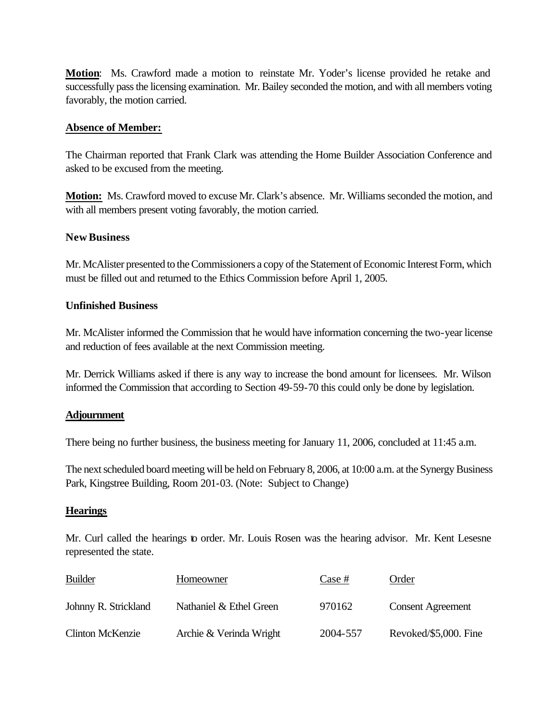**Motion**: Ms. Crawford made a motion to reinstate Mr. Yoder's license provided he retake and successfully pass the licensing examination. Mr. Bailey seconded the motion, and with all members voting favorably, the motion carried.

## **Absence of Member:**

The Chairman reported that Frank Clark was attending the Home Builder Association Conference and asked to be excused from the meeting.

**Motion:** Ms. Crawford moved to excuse Mr. Clark's absence. Mr. Williams seconded the motion, and with all members present voting favorably, the motion carried.

## **New Business**

Mr. McAlister presented to the Commissioners a copy of the Statement of Economic Interest Form, which must be filled out and returned to the Ethics Commission before April 1, 2005.

## **Unfinished Business**

Mr. McAlister informed the Commission that he would have information concerning the two-year license and reduction of fees available at the next Commission meeting.

Mr. Derrick Williams asked if there is any way to increase the bond amount for licensees. Mr. Wilson informed the Commission that according to Section 49-59-70 this could only be done by legislation.

## **Adjournment**

There being no further business, the business meeting for January 11, 2006, concluded at 11:45 a.m.

The next scheduled board meeting will be held on February 8, 2006, at 10:00 a.m. at the Synergy Business Park, Kingstree Building, Room 201-03. (Note: Subject to Change)

## **Hearings**

Mr. Curl called the hearings to order. Mr. Louis Rosen was the hearing advisor. Mr. Kent Lesesne represented the state.

| Builder                 | Homeowner               | Case #   | Order                    |
|-------------------------|-------------------------|----------|--------------------------|
| Johnny R. Strickland    | Nathaniel & Ethel Green | 970162   | <b>Consent Agreement</b> |
| <b>Clinton McKenzie</b> | Archie & Verinda Wright | 2004-557 | Revoked/\$5,000. Fine    |